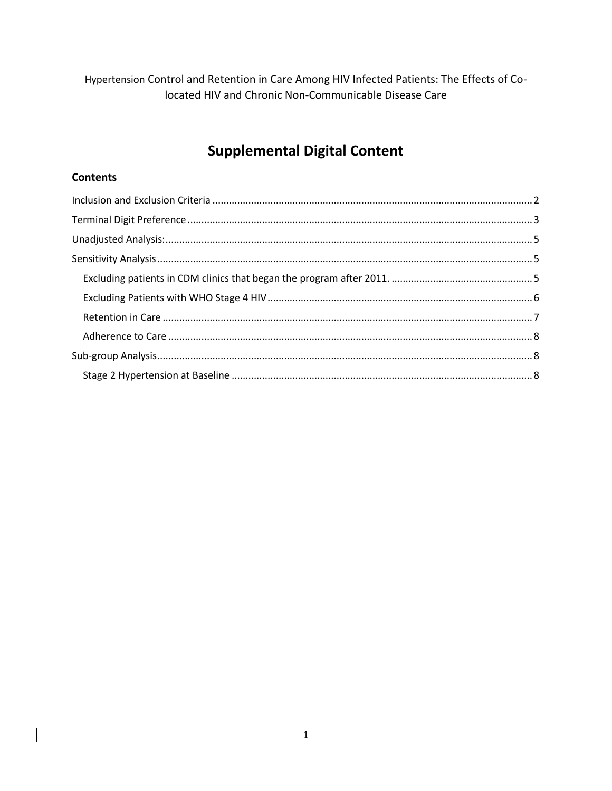Hypertension Control and Retention in Care Among HIV Infected Patients: The Effects of Colocated HIV and Chronic Non-Communicable Disease Care

# **Supplemental Digital Content**

# **Contents**

 $\overline{\phantom{a}}$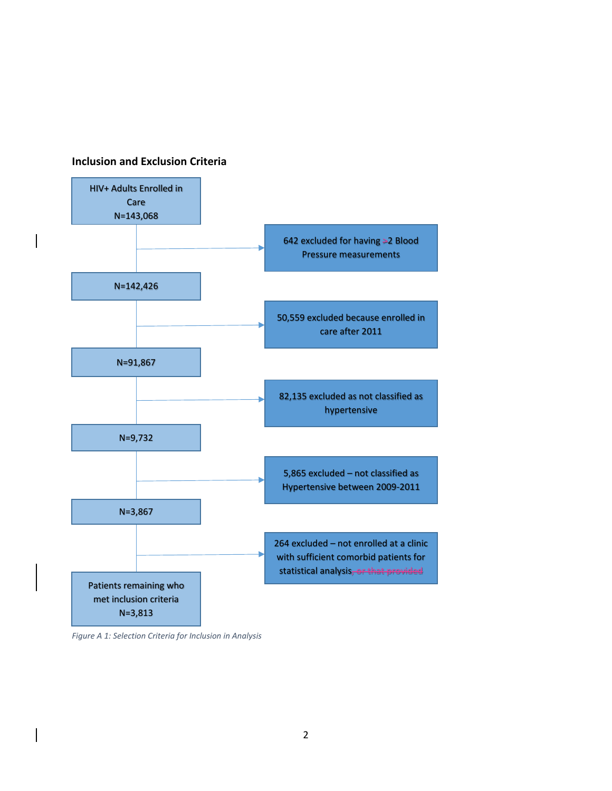### <span id="page-1-0"></span>**Inclusion and Exclusion Criteria**



*Figure A 1: Selection Criteria for Inclusion in Analysis*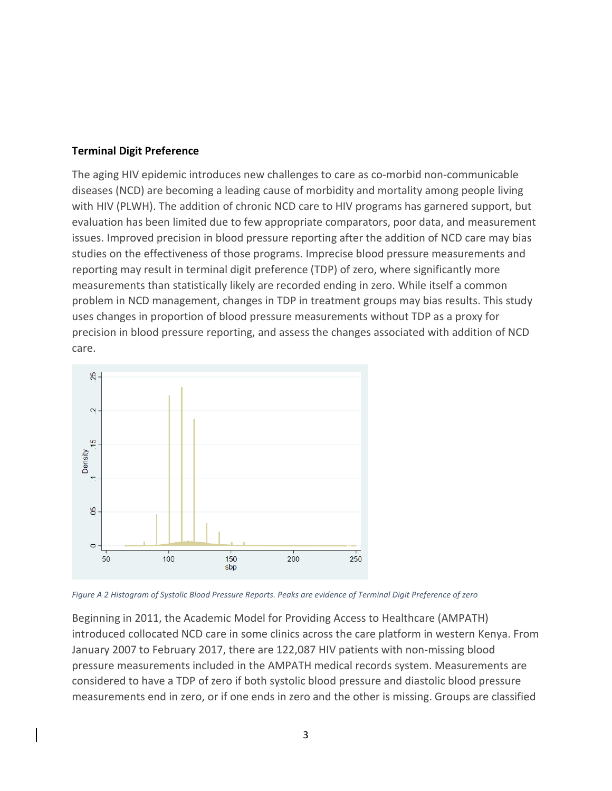# <span id="page-2-0"></span>**Terminal Digit Preference**

The aging HIV epidemic introduces new challenges to care as co-morbid non-communicable diseases (NCD) are becoming a leading cause of morbidity and mortality among people living with HIV (PLWH). The addition of chronic NCD care to HIV programs has garnered support, but evaluation has been limited due to few appropriate comparators, poor data, and measurement issues. Improved precision in blood pressure reporting after the addition of NCD care may bias studies on the effectiveness of those programs. Imprecise blood pressure measurements and reporting may result in terminal digit preference (TDP) of zero, where significantly more measurements than statistically likely are recorded ending in zero. While itself a common problem in NCD management, changes in TDP in treatment groups may bias results. This study uses changes in proportion of blood pressure measurements without TDP as a proxy for precision in blood pressure reporting, and assess the changes associated with addition of NCD care.



*Figure A 2 Histogram of Systolic Blood Pressure Reports. Peaks are evidence of Terminal Digit Preference of zero*

Beginning in 2011, the Academic Model for Providing Access to Healthcare (AMPATH) introduced collocated NCD care in some clinics across the care platform in western Kenya. From January 2007 to February 2017, there are 122,087 HIV patients with non-missing blood pressure measurements included in the AMPATH medical records system. Measurements are considered to have a TDP of zero if both systolic blood pressure and diastolic blood pressure measurements end in zero, or if one ends in zero and the other is missing. Groups are classified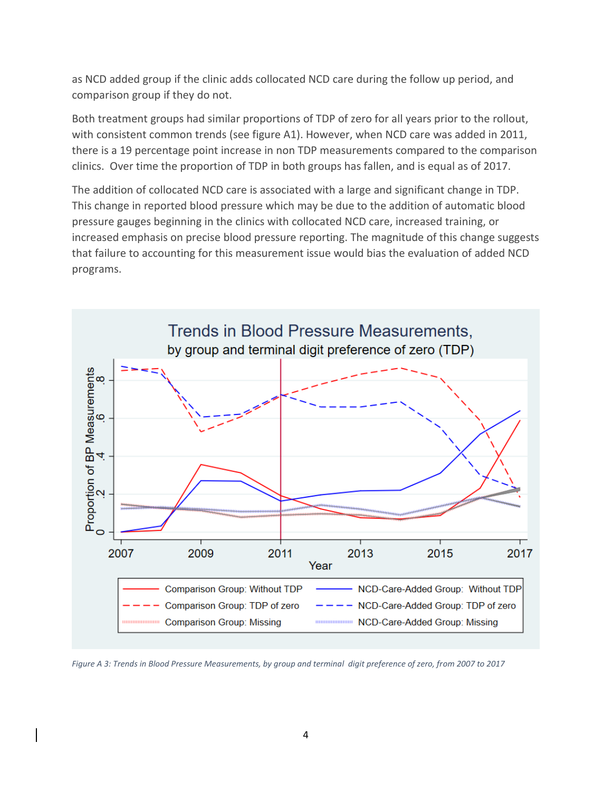as NCD added group if the clinic adds collocated NCD care during the follow up period, and comparison group if they do not.

Both treatment groups had similar proportions of TDP of zero for all years prior to the rollout, with consistent common trends (see figure A1). However, when NCD care was added in 2011, there is a 19 percentage point increase in non TDP measurements compared to the comparison clinics. Over time the proportion of TDP in both groups has fallen, and is equal as of 2017.

The addition of collocated NCD care is associated with a large and significant change in TDP. This change in reported blood pressure which may be due to the addition of automatic blood pressure gauges beginning in the clinics with collocated NCD care, increased training, or increased emphasis on precise blood pressure reporting. The magnitude of this change suggests that failure to accounting for this measurement issue would bias the evaluation of added NCD programs.



*Figure A 3: Trends in Blood Pressure Measurements, by group and terminal digit preference of zero, from 2007 to 2017*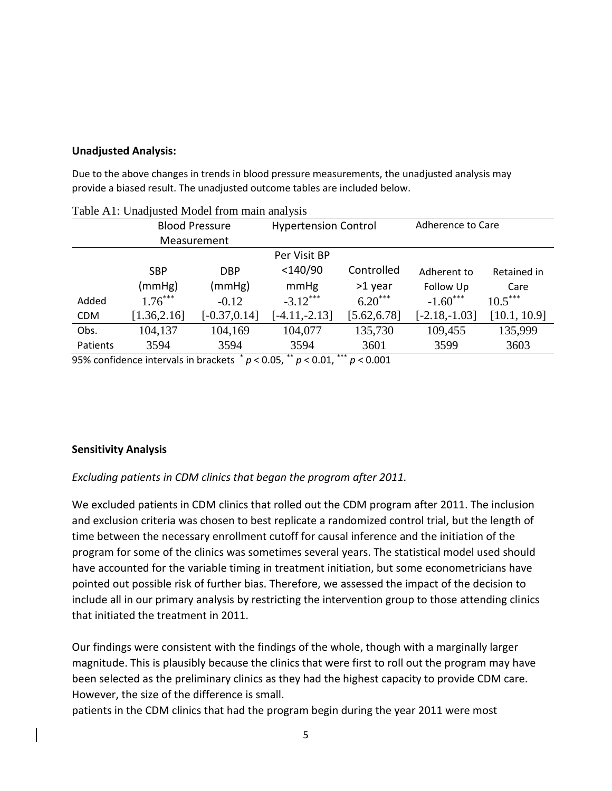# <span id="page-4-0"></span>**Unadjusted Analysis:**

Due to the above changes in trends in blood pressure measurements, the unadjusted analysis may provide a biased result. The unadjusted outcome tables are included below.

|             | <b>Blood Pressure</b>                                                             |                 | <b>Hypertension Control</b> |                         | Adherence to Care |              |  |
|-------------|-----------------------------------------------------------------------------------|-----------------|-----------------------------|-------------------------|-------------------|--------------|--|
| Measurement |                                                                                   |                 |                             |                         |                   |              |  |
|             | Per Visit BP                                                                      |                 |                             |                         |                   |              |  |
|             | <b>SBP</b>                                                                        | <b>DBP</b>      | $<$ 140/90                  | Controlled              | Adherent to       | Retained in  |  |
|             | (mmHg)                                                                            | (mmHg)          | mmHg                        | >1 year                 | Follow Up         | Care         |  |
| Added       | $1.76***$                                                                         | $-0.12$         | $-3.12***$                  | $6.20***$               | $-1.60***$        | $10.5***$    |  |
| <b>CDM</b>  | [1.36, 2.16]                                                                      | $[-0.37, 0.14]$ | $[-4.11,-2.13]$             | [5.62, 6.78]            | $[-2.18,-1.03]$   | [10.1, 10.9] |  |
| Obs.        | 104,137                                                                           | 104,169         | 104,077                     | 135,730                 | 109,455           | 135,999      |  |
| Patients    | 3594                                                                              | 3594            | 3594                        | 3601                    | 3599              | 3603         |  |
|             | $0.5\%$ confidence intervals in brackets $^* n \times 0.05$ $^{**} n \times 0.01$ |                 |                             | ***<br>$n \times 0.001$ |                   |              |  |

|  | Table A1: Unadjusted Model from main analysis |  |
|--|-----------------------------------------------|--|
|  |                                               |  |

95% confidence intervals in brackets \* *p* < 0.05, \*\* *p* < 0.01, \*\*\* *p* < 0.001

# <span id="page-4-1"></span>**Sensitivity Analysis**

<span id="page-4-2"></span>*Excluding patients in CDM clinics that began the program after 2011.* 

We excluded patients in CDM clinics that rolled out the CDM program after 2011. The inclusion and exclusion criteria was chosen to best replicate a randomized control trial, but the length of time between the necessary enrollment cutoff for causal inference and the initiation of the program for some of the clinics was sometimes several years. The statistical model used should have accounted for the variable timing in treatment initiation, but some econometricians have pointed out possible risk of further bias. Therefore, we assessed the impact of the decision to include all in our primary analysis by restricting the intervention group to those attending clinics that initiated the treatment in 2011.

Our findings were consistent with the findings of the whole, though with a marginally larger magnitude. This is plausibly because the clinics that were first to roll out the program may have been selected as the preliminary clinics as they had the highest capacity to provide CDM care. However, the size of the difference is small.

patients in the CDM clinics that had the program begin during the year 2011 were most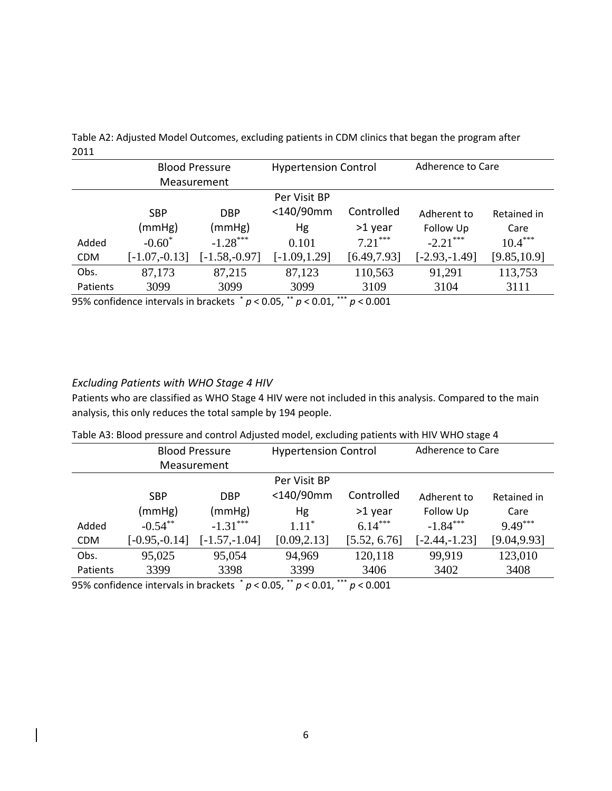|            | <b>Blood Pressure</b> |                  | <b>Hypertension Control</b> |                | Adherence to Care |              |
|------------|-----------------------|------------------|-----------------------------|----------------|-------------------|--------------|
|            |                       | Measurement      |                             |                |                   |              |
|            | Per Visit BP          |                  |                             |                |                   |              |
|            | <b>SBP</b>            | <b>DBP</b>       | <140/90mm                   | Controlled     | Adherent to       | Retained in  |
|            | (mmHg)                | (mmHg)           | Hg                          | >1 year        | Follow Up         | Care         |
| Added      | $-0.60^*$             | $-1.28***$       | 0.101                       | $7.21***$      | $-2.21***$        | $10.4***$    |
| <b>CDM</b> | $[-1.07, -0.13]$      | $[-1.58, -0.97]$ | $[-1.09, 1.29]$             | [6.49, 7.93]   | $[-2.93,-1.49]$   | [9.85, 10.9] |
| Obs.       | 87,173                | 87,215           | 87,123                      | 110,563        | 91,291            | 113,753      |
| Patients   | 3099                  | 3099             | 3099                        | 3109           | 3104              | 3111         |
|            |                       |                  | مالد عالد                   | مالد عالد عالم |                   |              |

Table A2: Adjusted Model Outcomes, excluding patients in CDM clinics that began the program after 2011

95% confidence intervals in brackets \* *p* < 0.05, \*\* *p* < 0.01, \*\*\* *p* < 0.001

## <span id="page-5-0"></span>*Excluding Patients with WHO Stage 4 HIV*

Patients who are classified as WHO Stage 4 HIV were not included in this analysis. Compared to the main analysis, this only reduces the total sample by 194 people.

|  | Table A3: Blood pressure and control Adjusted model, excluding patients with HIV WHO stage 4 |  |
|--|----------------------------------------------------------------------------------------------|--|
|--|----------------------------------------------------------------------------------------------|--|

|              | <b>Blood Pressure</b>                                                         |                 | <b>Hypertension Control</b> |                         | Adherence to Care |              |
|--------------|-------------------------------------------------------------------------------|-----------------|-----------------------------|-------------------------|-------------------|--------------|
|              |                                                                               | Measurement     |                             |                         |                   |              |
| Per Visit BP |                                                                               |                 |                             |                         |                   |              |
|              | <b>SBP</b>                                                                    | <b>DBP</b>      | <140/90mm                   | Controlled              | Adherent to       | Retained in  |
|              | (mmHg)                                                                        | (mmHg)          | Hg                          | >1 year                 | Follow Up         | Care         |
| Added        | $-0.54***$                                                                    | $-1.31***$      | $1.11*$                     | $6.14***$               | $-1.84***$        | $9.49***$    |
| <b>CDM</b>   | $[-0.95,-0.14]$                                                               | $[-1.57,-1.04]$ | [0.09, 2.13]                | [5.52, 6.76]            | $[-2.44,-1.23]$   | [9.04, 9.93] |
| Obs.         | 95,025                                                                        | 95,054          | 94,969                      | 120,118                 | 99,919            | 123,010      |
| Patients     | 3399                                                                          | 3398            | 3399                        | 3406                    | 3402              | 3408         |
|              | $0.001$ confidence intervals in broakets $^* \times 0.05$ $^{**} \times 0.01$ |                 |                             | ***<br>$m \times 0.001$ |                   |              |

95% confidence intervals in brackets \* *p* < 0.05, \*\* *p* < 0.01, \*\*\* *p* < 0.001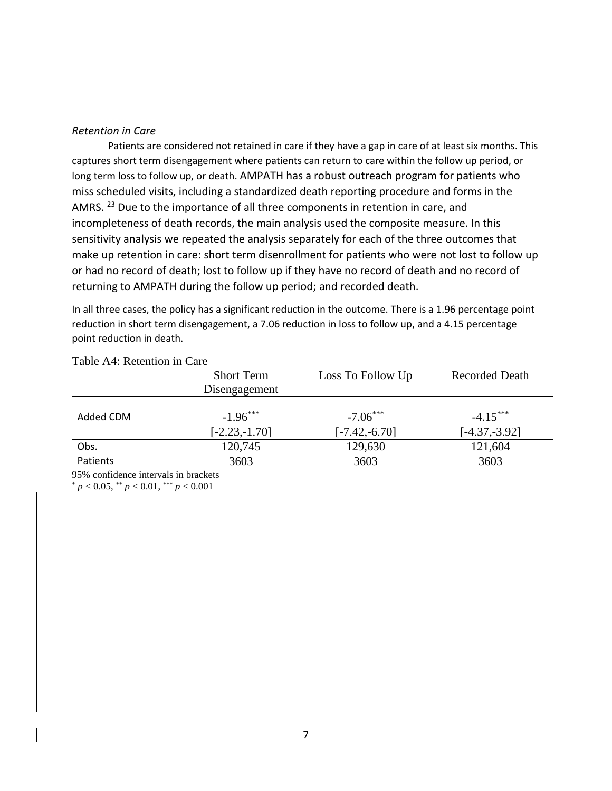### <span id="page-6-0"></span>*Retention in Care*

Patients are considered not retained in care if they have a gap in care of at least six months. This captures short term disengagement where patients can return to care within the follow up period, or long term loss to follow up, or death. AMPATH has a robust outreach program for patients who miss scheduled visits, including a standardized death reporting procedure and forms in the AMRS. <sup>23</sup> Due to the importance of all three components in retention in care, and incompleteness of death records, the main analysis used the composite measure. In this sensitivity analysis we repeated the analysis separately for each of the three outcomes that make up retention in care: short term disenrollment for patients who were not lost to follow up or had no record of death; lost to follow up if they have no record of death and no record of returning to AMPATH during the follow up period; and recorded death.

In all three cases, the policy has a significant reduction in the outcome. There is a 1.96 percentage point reduction in short term disengagement, a 7.06 reduction in loss to follow up, and a 4.15 percentage point reduction in death.

|           | <b>Short Term</b> | Loss To Follow Up | <b>Recorded Death</b> |
|-----------|-------------------|-------------------|-----------------------|
|           | Disengagement     |                   |                       |
| Added CDM | $-1.96***$        | $-7.06***$        | $-4.15***$            |
|           | $[-2.23,-1.70]$   | $[-7.42,-6.70]$   | $[-4.37, -3.92]$      |
| Obs.      | 120,745           | 129,630           | 121,604               |
| Patients  | 3603              | 3603              | 3603                  |

## Table A4: Retention in Care

95% confidence intervals in brackets

 $p < 0.05$ ,  $p < 0.01$ ,  $p < 0.001$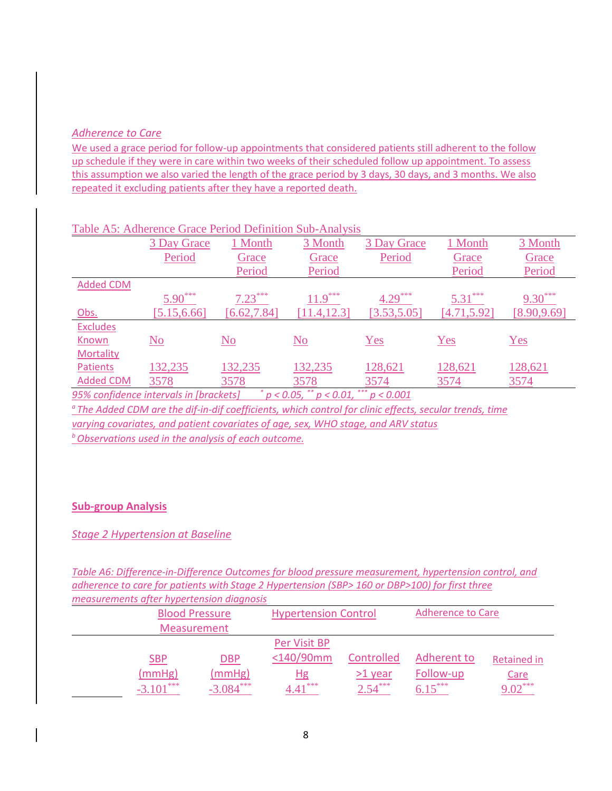# <span id="page-7-0"></span>*Adherence to Care*

We used a grace period for follow-up appointments that considered patients still adherent to the follow up schedule if they were in care within two weeks of their scheduled follow up appointment. To assess this assumption we also varied the length of the grace period by 3 days, 30 days, and 3 months. We also repeated it excluding patients after they have a reported death.

|                  | 3 Day Grace  | 1 Month                | 3 Month                   | 3 Day Grace  | 1 Month      | 3 Month      |
|------------------|--------------|------------------------|---------------------------|--------------|--------------|--------------|
|                  | Period       | Grace                  | Grace                     | Period       | Grace        | Grace        |
|                  |              | Period                 | Period                    |              | Period       | Period       |
| <b>Added CDM</b> |              |                        |                           |              |              |              |
|                  | $5.90***$    | $7.23***$              | $11.9***$                 | $4.29***$    | $5.31***$    | $9.30***$    |
| Obs.             | [5.15, 6.66] | [6.62, 7.84]           | [11.4, 12.3]              | [3.53, 5.05] | [4.71, 5.92] | [8.90, 9.69] |
| <b>Excludes</b>  |              |                        |                           |              |              |              |
| Known            | <u>No</u>    | $\overline{\text{No}}$ | $\underline{\mathrm{No}}$ | Yes          | Yes          | Yes          |
| <b>Mortality</b> |              |                        |                           |              |              |              |
| <b>Patients</b>  | 132,235      | 132,235                | 132,235                   | 128,621      | 128,621      | 128,621      |
| <b>Added CDM</b> | 3578         | 3578                   | 3578                      | 3574         | 3574         | 3574         |

## Table A5: Adherence Grace Period Definition Sub-Analysis

*95% confidence intervals in [brackets] \* p < 0.05, \*\* p < 0.01, \*\*\* p < 0.001*

*<sup>a</sup>The Added CDM are the dif-in-dif coefficients, which control for clinic effects, secular trends, time varying covariates, and patient covariates of age, sex, WHO stage, and ARV status <sup>b</sup>Observations used in the analysis of each outcome.* 

# <span id="page-7-1"></span>**Sub-group Analysis**

<span id="page-7-2"></span>*Stage 2 Hypertension at Baseline*

*Table A6: Difference-in-Difference Outcomes for blood pressure measurement, hypertension control, and adherence to care for patients with Stage 2 Hypertension (SBP> 160 or DBP>100) for first three measurements after hypertension diagnosis*

| measurements arter hypertension alagnosis |             |                             |            |                          |                    |  |  |  |
|-------------------------------------------|-------------|-----------------------------|------------|--------------------------|--------------------|--|--|--|
| <b>Blood Pressure</b>                     |             | <b>Hypertension Control</b> |            | <b>Adherence to Care</b> |                    |  |  |  |
| <b>Measurement</b>                        |             |                             |            |                          |                    |  |  |  |
|                                           |             | Per Visit BP                |            |                          |                    |  |  |  |
| <u>SBP</u>                                | <b>DBP</b>  | $<$ 140/90mm                | Controlled | Adherent to              | <b>Retained in</b> |  |  |  |
| (mmHg)                                    | (mmHg)      | <u>Hg</u>                   | $>1$ year  | Follow-up                | <b>Care</b>        |  |  |  |
| $-3.101***$                               | $-3.084***$ | $+$ ***<br>4.41             | $2.54***$  | $6.15***$                | $9.02***$          |  |  |  |